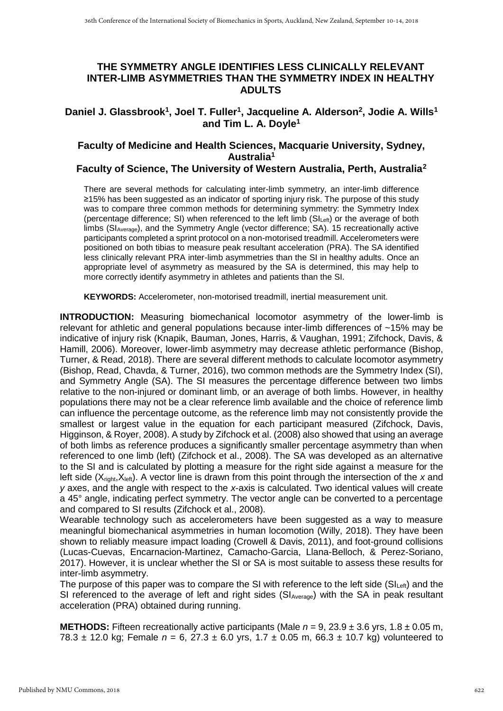# **THE SYMMETRY ANGLE IDENTIFIES LESS CLINICALLY RELEVANT INTER-LIMB ASYMMETRIES THAN THE SYMMETRY INDEX IN HEALTHY ADULTS**

## **Daniel J. Glassbrook<sup>1</sup> , Joel T. Fuller<sup>1</sup> , Jacqueline A. Alderson<sup>2</sup> , Jodie A. Wills<sup>1</sup> and Tim L. A. Doyle<sup>1</sup>**

# **Faculty of Medicine and Health Sciences, Macquarie University, Sydney, Australia<sup>1</sup>**

## **Faculty of Science, The University of Western Australia, Perth, Australia<sup>2</sup>**

There are several methods for calculating inter-limb symmetry, an inter-limb difference ≥15% has been suggested as an indicator of sporting injury risk. The purpose of this study was to compare three common methods for determining symmetry: the Symmetry Index (percentage difference: SI) when referenced to the left limb  $(S|_{\text{eff}})$  or the average of both limbs (SIAverage), and the Symmetry Angle (vector difference; SA). 15 recreationally active participants completed a sprint protocol on a non-motorised treadmill. Accelerometers were positioned on both tibias to measure peak resultant acceleration (PRA). The SA identified less clinically relevant PRA inter-limb asymmetries than the SI in healthy adults. Once an appropriate level of asymmetry as measured by the SA is determined, this may help to more correctly identify asymmetry in athletes and patients than the SI.

**KEYWORDS:** Accelerometer, non-motorised treadmill, inertial measurement unit.

**INTRODUCTION:** Measuring biomechanical locomotor asymmetry of the lower-limb is relevant for athletic and general populations because inter-limb differences of ~15% may be indicative of injury risk [\(Knapik, Bauman, Jones, Harris, & Vaughan, 1991;](#page-3-0) [Zifchock, Davis, &](#page-3-1)  [Hamill, 2006\)](#page-3-1). Moreover, lower-limb asymmetry may decrease athletic performance [\(Bishop,](#page-3-2)  [Turner, & Read, 2018\)](#page-3-2). There are several different methods to calculate locomotor asymmetry [\(Bishop, Read, Chavda, & Turner, 2016\)](#page-3-3), two common methods are the Symmetry Index (SI), and Symmetry Angle (SA). The SI measures the percentage difference between two limbs relative to the non-injured or dominant limb, or an average of both limbs. However, in healthy populations there may not be a clear reference limb available and the choice of reference limb can influence the percentage outcome, as the reference limb may not consistently provide the smallest or largest value in the equation for each participant measured [\(Zifchock, Davis,](#page-3-4)  [Higginson, & Royer, 2008\)](#page-3-4). A study b[y Zifchock et al. \(2008\)](#page-3-4) also showed that using an average of both limbs as reference produces a significantly smaller percentage asymmetry than when referenced to one limb (left) [\(Zifchock et al., 2008\)](#page-3-4). The SA was developed as an alternative to the SI and is calculated by plotting a measure for the right side against a measure for the left side (X<sub>right</sub>,X<sub>left</sub>). A vector line is drawn from this point through the intersection of the *x* and *y* axes, and the angle with respect to the *x*-axis is calculated. Two identical values will create a 45° angle, indicating perfect symmetry. The vector angle can be converted to a percentage and compared to SI results [\(Zifchock et al., 2008\)](#page-3-4).

Wearable technology such as accelerometers have been suggested as a way to measure meaningful biomechanical asymmetries in human locomotion [\(Willy, 2018\)](#page-3-5). They have been shown to reliably measure impact loading [\(Crowell & Davis, 2011\)](#page-3-6), and foot-ground collisions [\(Lucas-Cuevas, Encarnacion-Martinez, Camacho-Garcia, Llana-Belloch, & Perez-Soriano,](#page-3-7)  [2017\)](#page-3-7). However, it is unclear whether the SI or SA is most suitable to assess these results for inter-limb asymmetry.

The purpose of this paper was to compare the SI with reference to the left side ( $SI<sub>Left</sub>$ ) and the SI referenced to the average of left and right sides (SI<sub>Average</sub>) with the SA in peak resultant acceleration (PRA) obtained during running.

**METHODS:** Fifteen recreationally active participants (Male *n* = 9, 23.9 ± 3.6 yrs, 1.8 ± 0.05 m, 78.3  $\pm$  12.0 kg; Female  $n = 6$ , 27.3  $\pm$  6.0 yrs, 1.7  $\pm$  0.05 m, 66.3  $\pm$  10.7 kg) volunteered to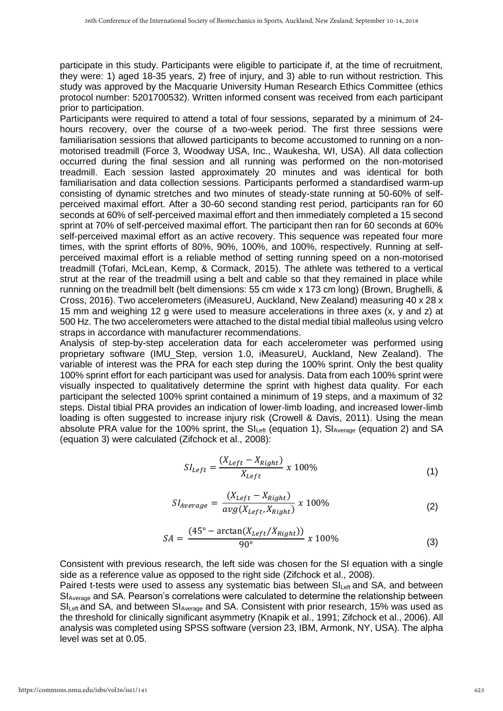participate in this study. Participants were eligible to participate if, at the time of recruitment, they were: 1) aged 18-35 years, 2) free of injury, and 3) able to run without restriction. This study was approved by the Macquarie University Human Research Ethics Committee (ethics protocol number: 5201700532). Written informed consent was received from each participant prior to participation.

Participants were required to attend a total of four sessions, separated by a minimum of 24 hours recovery, over the course of a two-week period. The first three sessions were familiarisation sessions that allowed participants to become accustomed to running on a nonmotorised treadmill (Force 3, Woodway USA, Inc., Waukesha, WI, USA). All data collection occurred during the final session and all running was performed on the non-motorised treadmill. Each session lasted approximately 20 minutes and was identical for both familiarisation and data collection sessions. Participants performed a standardised warm-up consisting of dynamic stretches and two minutes of steady-state running at 50-60% of selfperceived maximal effort. After a 30-60 second standing rest period, participants ran for 60 seconds at 60% of self-perceived maximal effort and then immediately completed a 15 second sprint at 70% of self-perceived maximal effort. The participant then ran for 60 seconds at 60% self-perceived maximal effort as an active recovery. This sequence was repeated four more times, with the sprint efforts of 80%, 90%, 100%, and 100%, respectively. Running at selfperceived maximal effort is a reliable method of setting running speed on a non-motorised treadmill [\(Tofari, McLean, Kemp, & Cormack, 2015\)](#page-3-8). The athlete was tethered to a vertical strut at the rear of the treadmill using a belt and cable so that they remained in place while running on the treadmill belt (belt dimensions: 55 cm wide x 173 cm long) [\(Brown, Brughelli, &](#page-3-9)  [Cross, 2016\)](#page-3-9). Two accelerometers (iMeasureU, Auckland, New Zealand) measuring 40 x 28 x 15 mm and weighing 12 g were used to measure accelerations in three axes (x, y and z) at 500 Hz. The two accelerometers were attached to the distal medial tibial malleolus using velcro straps in accordance with manufacturer recommendations.

Analysis of step-by-step acceleration data for each accelerometer was performed using proprietary software (IMU\_Step, version 1.0, iMeasureU, Auckland, New Zealand). The variable of interest was the PRA for each step during the 100% sprint. Only the best quality 100% sprint effort for each participant was used for analysis. Data from each 100% sprint were visually inspected to qualitatively determine the sprint with highest data quality. For each participant the selected 100% sprint contained a minimum of 19 steps, and a maximum of 32 steps. Distal tibial PRA provides an indication of lower-limb loading, and increased lower-limb loading is often suggested to increase injury risk [\(Crowell & Davis, 2011\)](#page-3-6). Using the mean absolute PRA value for the 100% sprint, the  $SI<sub>left</sub>$  (equation 1),  $SI<sub>Average</sub>$  (equation 2) and SA (equation 3) were calculated [\(Zifchock et al., 2008\)](#page-3-4):

$$
SI_{Left} = \frac{(X_{Left} - X_{Right})}{X_{Left}} \times 100\%
$$
 (1)

$$
SI_{Average} = \frac{(X_{Left} - X_{Right})}{avg(X_{Left}, X_{Right})} \times 100\%
$$
 (2)

$$
SA = \frac{(45^{\circ} - \arctan(X_{Left}/X_{Right}))}{90^{\circ}} \times 100\%
$$
 (3)

Consistent with previous research, the left side was chosen for the SI equation with a single side as a reference value as opposed to the right side [\(Zifchock et al., 2008\)](#page-3-4).

Paired t-tests were used to assess any systematic bias between SI<sub>Left</sub> and SA, and between SI<sub>Average</sub> and SA. Pearson's correlations were calculated to determine the relationship between  $SI<sub>Left</sub>$  and SA, and between  $SI<sub>Average</sub>$  and SA. Consistent with prior research, 15% was used as the threshold for clinically significant asymmetry [\(Knapik et al., 1991;](#page-3-0) [Zifchock et al., 2006\)](#page-3-1). All analysis was completed using SPSS software (version 23, IBM, Armonk, NY, USA). The alpha level was set at 0.05.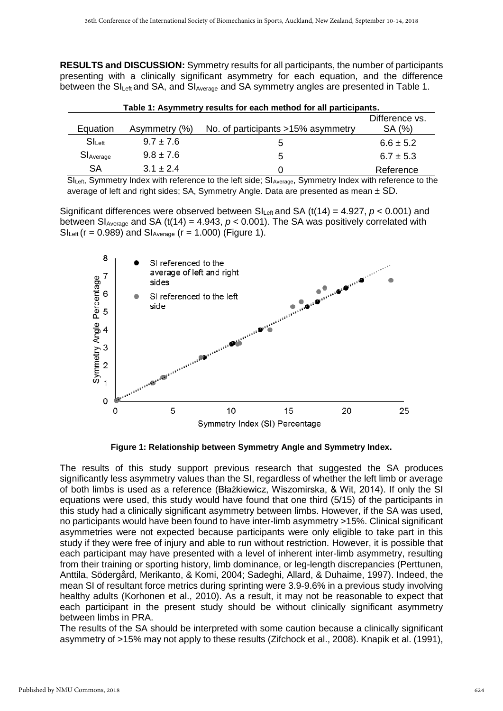**RESULTS and DISCUSSION:** Symmetry results for all participants, the number of participants presenting with a clinically significant asymmetry for each equation, and the difference between the SI<sub>Left</sub> and SA, and SI<sub>Average</sub> and SA symmetry angles are presented in Table 1.

| Table T. Asyllingtry results for each incling for an participatits. |               |                                    |                |
|---------------------------------------------------------------------|---------------|------------------------------------|----------------|
|                                                                     |               |                                    | Difference vs. |
| Equation                                                            | Asymmetry (%) | No. of participants >15% asymmetry | SA (%)         |
| Sl <sub>Left</sub>                                                  | $9.7 \pm 7.6$ | :5                                 | $6.6 \pm 5.2$  |
| SlAverage                                                           | $9.8 \pm 7.6$ | 5                                  | $6.7 \pm 5.3$  |
| SA                                                                  | $3.1 \pm 2.4$ |                                    | Reference      |

**Table 1: Asymmetry results for each method for all participants.** 

SILeft, Symmetry Index with reference to the left side; SIAverage, Symmetry Index with reference to the average of left and right sides; SA, Symmetry Angle. Data are presented as mean  $\pm$  SD.

Significant differences were observed between SILeft and SA (t(14) = 4.927, *p* < 0.001) and between SI<sub>Average</sub> and SA (t(14) = 4.943,  $p < 0.001$ ). The SA was positively correlated with  $SI_{Left}$  (r = 0.989) and  $SI_{Average}$  (r = 1.000) (Figure 1).



**Figure 1: Relationship between Symmetry Angle and Symmetry Index.**

The results of this study support previous research that suggested the SA produces significantly less asymmetry values than the SI, regardless of whether the left limb or average of both limbs is used as a reference [\(Błażkiewicz, Wiszomirska, & Wit, 2014\)](#page-3-10). If only the SI equations were used, this study would have found that one third (5/15) of the participants in this study had a clinically significant asymmetry between limbs. However, if the SA was used, no participants would have been found to have inter-limb asymmetry >15%. Clinical significant asymmetries were not expected because participants were only eligible to take part in this study if they were free of injury and able to run without restriction. However, it is possible that each participant may have presented with a level of inherent inter-limb asymmetry, resulting from their training or sporting history, limb dominance, or leg-length discrepancies [\(Perttunen,](#page-3-11)  [Anttila, Södergård, Merikanto, & Komi, 2004;](#page-3-11) [Sadeghi, Allard, & Duhaime, 1997\)](#page-3-12). Indeed, the mean SI of resultant force metrics during sprinting were 3.9-9.6% in a previous study involving healthy adults [\(Korhonen et al., 2010\)](#page-3-13). As a result, it may not be reasonable to expect that each participant in the present study should be without clinically significant asymmetry between limbs in PRA.

The results of the SA should be interpreted with some caution because a clinically significant asymmetry of >15% may not apply to these results [\(Zifchock et al., 2008\)](#page-3-4). [Knapik et al. \(1991\),](#page-3-0)